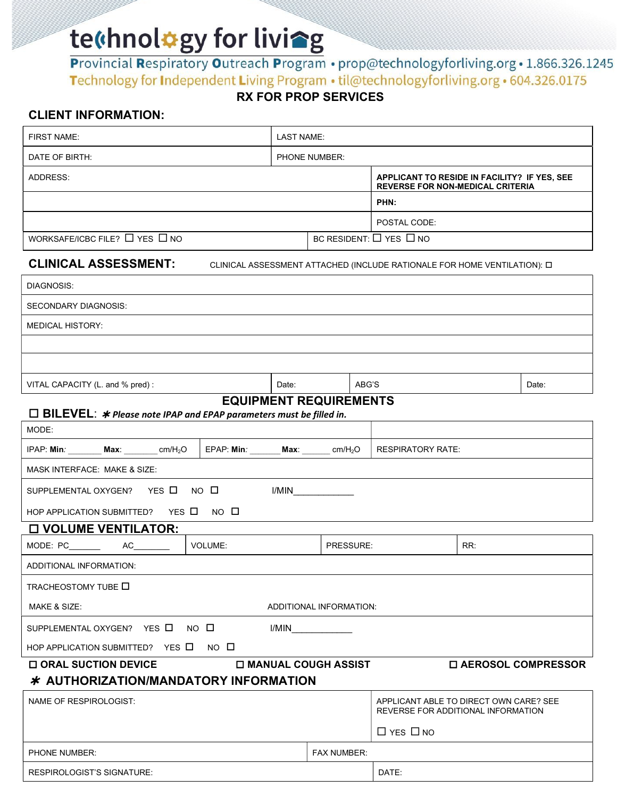te(hnol#gy for livieg<br>Provincial Respiratory Outreach Program . prop@technologyforliving.org.1.866.326.1245 Technology for Independent Living Program • til@technologyforliving.org • 604.326.0175

# RX FOR PROP SERVICES

## CLIENT INFORMATION.

| <b>FIRST NAME:</b><br>LAST NAME:<br>DATE OF BIRTH:<br>PHONE NUMBER:<br>ADDRESS:<br><b>REVERSE FOR NON-MEDICAL CRITERIA</b>                         |                                              |  |  |  |
|----------------------------------------------------------------------------------------------------------------------------------------------------|----------------------------------------------|--|--|--|
|                                                                                                                                                    |                                              |  |  |  |
|                                                                                                                                                    |                                              |  |  |  |
|                                                                                                                                                    | APPLICANT TO RESIDE IN FACILITY? IF YES, SEE |  |  |  |
| PHN:                                                                                                                                               |                                              |  |  |  |
| POSTAL CODE:                                                                                                                                       |                                              |  |  |  |
| WORKSAFE/ICBC FILE? $\Box$ YES $\Box$ NO<br>BC RESIDENT: $\Box$ YES $\Box$ NO                                                                      |                                              |  |  |  |
| <b>CLINICAL ASSESSMENT:</b><br>CLINICAL ASSESSMENT ATTACHED (INCLUDE RATIONALE FOR HOME VENTILATION): 0                                            |                                              |  |  |  |
| DIAGNOSIS:                                                                                                                                         |                                              |  |  |  |
| <b>SECONDARY DIAGNOSIS:</b>                                                                                                                        |                                              |  |  |  |
| <b>MEDICAL HISTORY:</b>                                                                                                                            |                                              |  |  |  |
|                                                                                                                                                    |                                              |  |  |  |
|                                                                                                                                                    |                                              |  |  |  |
| VITAL CAPACITY (L. and % pred):<br>ABG'S<br>Date:<br>Date:                                                                                         |                                              |  |  |  |
| <b>EQUIPMENT REQUIREMENTS</b><br>$\Box$ BILEVEL: $*$ Please note IPAP and EPAP parameters must be filled in.                                       |                                              |  |  |  |
| MODE:                                                                                                                                              |                                              |  |  |  |
| $IPAP: Min:$ __________ Max: _________ cm/H <sub>2</sub> O $\left $ EPAP: Min: _______ Max: ______ cm/H <sub>2</sub> O<br><b>RESPIRATORY RATE:</b> |                                              |  |  |  |
| MASK INTERFACE: MAKE & SIZE:                                                                                                                       |                                              |  |  |  |
| SUPPLEMENTAL OXYGEN? YES □ NO □<br>I/MIN                                                                                                           |                                              |  |  |  |
| HOP APPLICATION SUBMITTED? YES Q NO Q                                                                                                              |                                              |  |  |  |
| <b>O VOLUME VENTILATOR:</b>                                                                                                                        |                                              |  |  |  |
| MODE: $PC$ $AC$<br>VOLUME:<br>PRESSURE:<br>RR:                                                                                                     |                                              |  |  |  |
| ADDITIONAL INFORMATION:                                                                                                                            |                                              |  |  |  |
| TRACHEOSTOMY TUBE O                                                                                                                                |                                              |  |  |  |
| MAKE & SIZE:<br>ADDITIONAL INFORMATION:                                                                                                            |                                              |  |  |  |
| SUPPLEMENTAL OXYGEN? YES D<br>NO O<br>I/MIN                                                                                                        |                                              |  |  |  |
| HOP APPLICATION SUBMITTED? YES Q NO Q                                                                                                              |                                              |  |  |  |
| <b>O MANUAL COUGH ASSIST</b><br>□ AEROSOL COMPRESSOR<br><b>O ORAL SUCTION DEVICE</b><br>* AUTHORIZATION/MANDATORY INFORMATION                      |                                              |  |  |  |
| NAME OF RESPIROLOGIST:<br>APPLICANT ABLE TO DIRECT OWN CARE? SEE<br>REVERSE FOR ADDITIONAL INFORMATION                                             |                                              |  |  |  |
| $\Box$ YES $\Box$ NO                                                                                                                               |                                              |  |  |  |

|                            |                    | LI I LO LINU |
|----------------------------|--------------------|--------------|
| <b>PHONE NUMBER:</b>       | <b>FAX NUMBER:</b> |              |
| RESPIROLOGIST'S SIGNATURE: |                    | DATE:        |